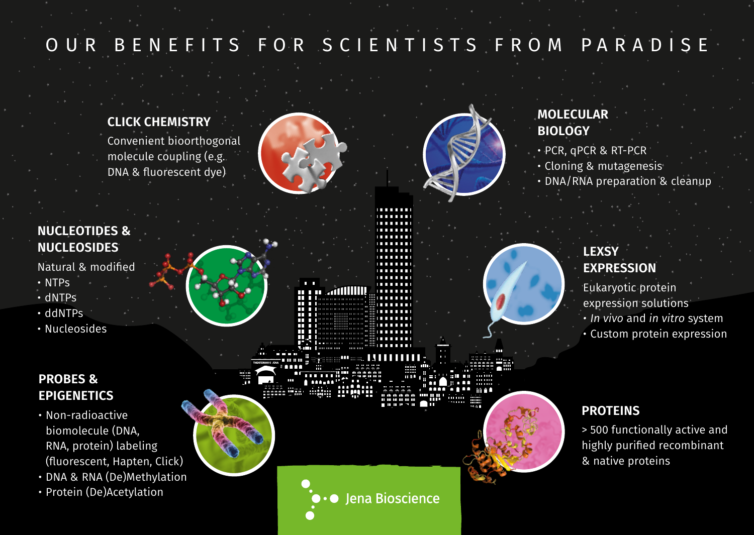# OUR BENEFITS FOR SCIENTISTS FROM PARADISE

#### **CLICK CHEMISTRY**

Convenient bioorthogonal molecule coupling (e.g. DNA & fluorescent dye)



Ħ

m aidillin

........



## **MOLECULAR BIOLOGY**

- PCR, qPCR & RT-PCR
- Cloning & mutagenesis
- DNA/RNA preparation & cleanup

### **NUCLEOTIDES & NUCLEOSIDES**

Natural & modified

- NTPs
- dNTPs
- ddNTPs
- Nucleosides

#### **PROBES & EPIGENETICS**

- Non-radioactive biomolecule (DNA, RNA, protein) labeling (fluorescent, Hapten, Click)
- DNA & RNA (De)Methylation
- Protein (De)Acetylation

**LEXSY EXPRESSION**

Eukaryotic protein

- expression solutions
- *• In vivo* and *in vitro* system

• Custom protein expression

#### **PROTEINS**

> 500 functionally active and highly purified recombinant & native proteins

**Jena Bioscience**